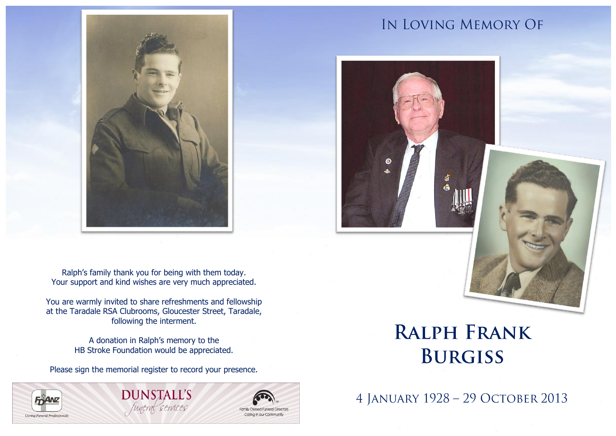

IN LOVING MEMORY OF



Ralph's family thank you for being with them today. Your support and kind wishes are very much appreciated.

You are warmly invited to share refreshments and fellowship at the Taradale RSA Clubrooms, Gloucester Street, Taradale, following the interment.

> A donation in Ralph's memory to the HB Stroke Foundation would be appreciated.

Please sign the memorial register to record your presence.

## **FRANZ** Caring Funeral Professionals

**DUNSTALL'S** funeral services



# **RALPH FRANK BURGISS**

4 JANUARY 1928 - 29 OCTOBER 2013